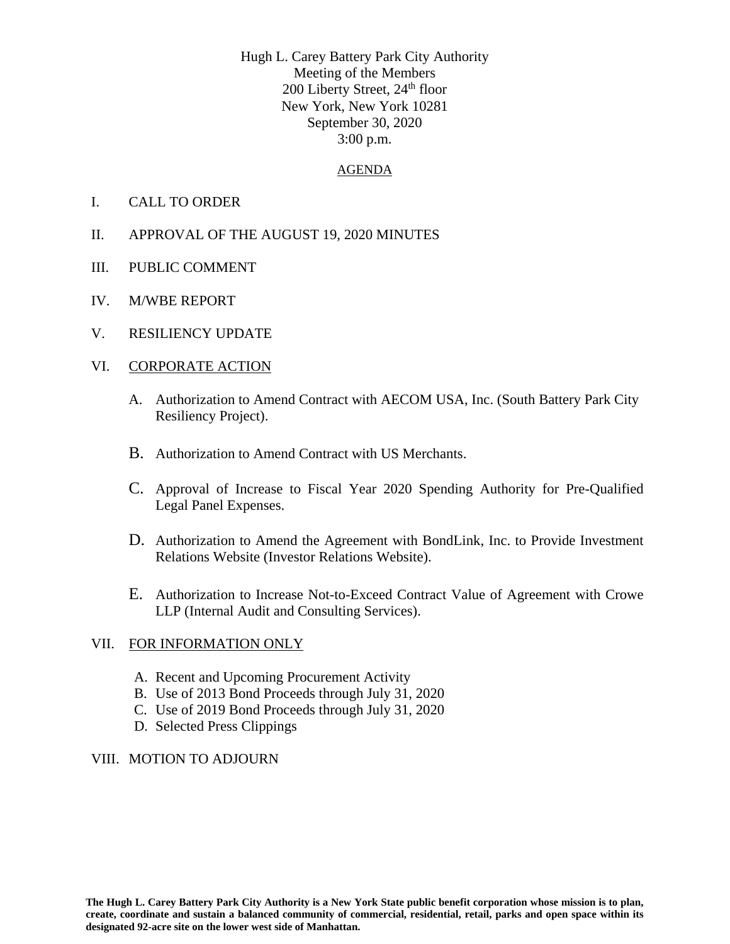Hugh L. Carey Battery Park City Authority Meeting of the Members 200 Liberty Street, 24<sup>th</sup> floor New York, New York 10281 September 30, 2020 3:00 p.m.

#### AGENDA

- I. CALL TO ORDER
- II. APPROVAL OF THE AUGUST 19, 2020 MINUTES
- III. PUBLIC COMMENT
- IV. M/WBE REPORT
- V. RESILIENCY UPDATE

### VI. CORPORATE ACTION

- A. Authorization to Amend Contract with AECOM USA, Inc. (South Battery Park City Resiliency Project).
- B. Authorization to Amend Contract with US Merchants.
- C. Approval of Increase to Fiscal Year 2020 Spending Authority for Pre-Qualified Legal Panel Expenses.
- D. Authorization to Amend the Agreement with BondLink, Inc. to Provide Investment Relations Website (Investor Relations Website).
- E. Authorization to Increase Not-to-Exceed Contract Value of Agreement with Crowe LLP (Internal Audit and Consulting Services).

### VII. FOR INFORMATION ONLY

- A. Recent and Upcoming Procurement Activity
- B. Use of 2013 Bond Proceeds through July 31, 2020
- C. Use of 2019 Bond Proceeds through July 31, 2020
- D. Selected Press Clippings

### VIII. MOTION TO ADJOURN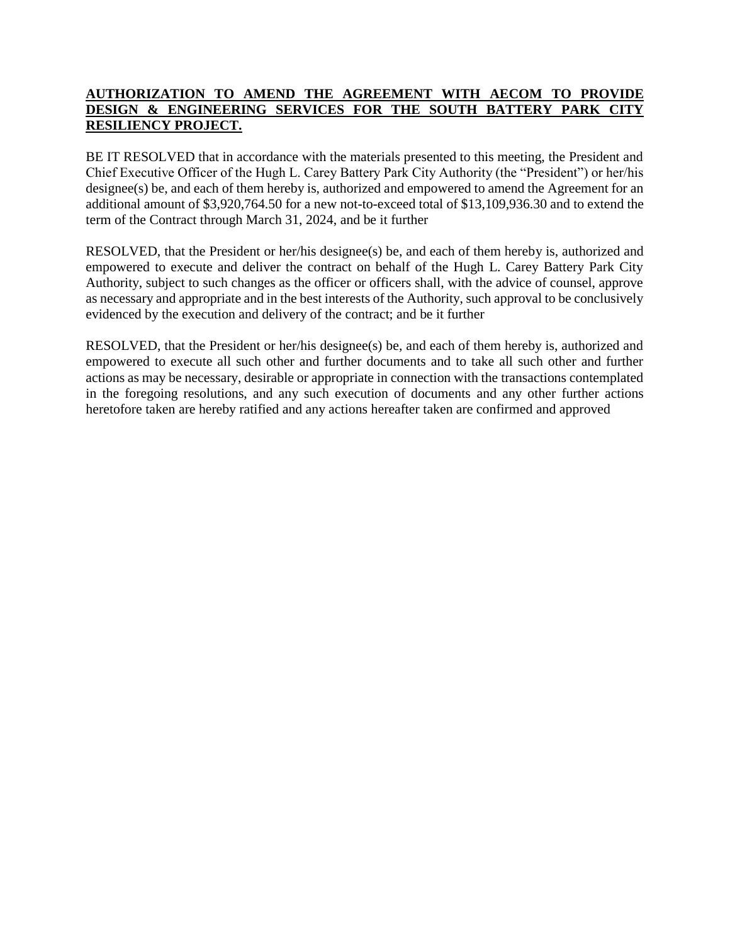## **AUTHORIZATION TO AMEND THE AGREEMENT WITH AECOM TO PROVIDE DESIGN & ENGINEERING SERVICES FOR THE SOUTH BATTERY PARK CITY RESILIENCY PROJECT.**

BE IT RESOLVED that in accordance with the materials presented to this meeting, the President and Chief Executive Officer of the Hugh L. Carey Battery Park City Authority (the "President") or her/his designee(s) be, and each of them hereby is, authorized and empowered to amend the Agreement for an additional amount of \$3,920,764.50 for a new not-to-exceed total of \$13,109,936.30 and to extend the term of the Contract through March 31, 2024, and be it further

RESOLVED, that the President or her/his designee(s) be, and each of them hereby is, authorized and empowered to execute and deliver the contract on behalf of the Hugh L. Carey Battery Park City Authority, subject to such changes as the officer or officers shall, with the advice of counsel, approve as necessary and appropriate and in the best interests of the Authority, such approval to be conclusively evidenced by the execution and delivery of the contract; and be it further

RESOLVED, that the President or her/his designee(s) be, and each of them hereby is, authorized and empowered to execute all such other and further documents and to take all such other and further actions as may be necessary, desirable or appropriate in connection with the transactions contemplated in the foregoing resolutions, and any such execution of documents and any other further actions heretofore taken are hereby ratified and any actions hereafter taken are confirmed and approved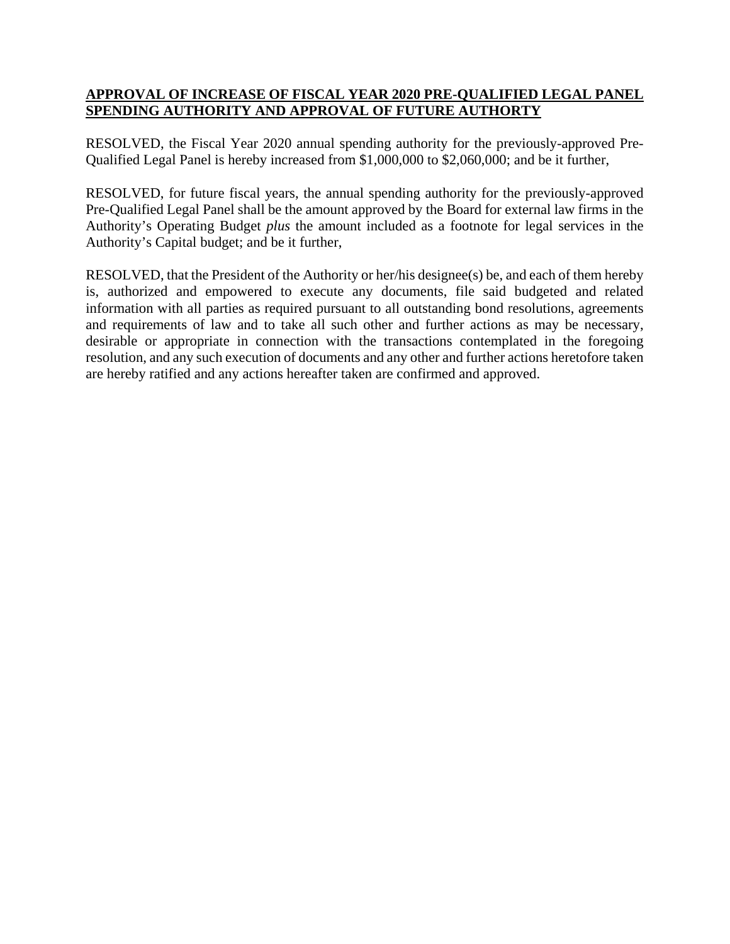# **APPROVAL OF INCREASE OF FISCAL YEAR 2020 PRE-QUALIFIED LEGAL PANEL SPENDING AUTHORITY AND APPROVAL OF FUTURE AUTHORTY**

RESOLVED, the Fiscal Year 2020 annual spending authority for the previously-approved Pre-Qualified Legal Panel is hereby increased from \$1,000,000 to \$2,060,000; and be it further,

RESOLVED, for future fiscal years, the annual spending authority for the previously-approved Pre-Qualified Legal Panel shall be the amount approved by the Board for external law firms in the Authority's Operating Budget *plus* the amount included as a footnote for legal services in the Authority's Capital budget; and be it further,

RESOLVED, that the President of the Authority or her/his designee(s) be, and each of them hereby is, authorized and empowered to execute any documents, file said budgeted and related information with all parties as required pursuant to all outstanding bond resolutions, agreements and requirements of law and to take all such other and further actions as may be necessary, desirable or appropriate in connection with the transactions contemplated in the foregoing resolution, and any such execution of documents and any other and further actions heretofore taken are hereby ratified and any actions hereafter taken are confirmed and approved.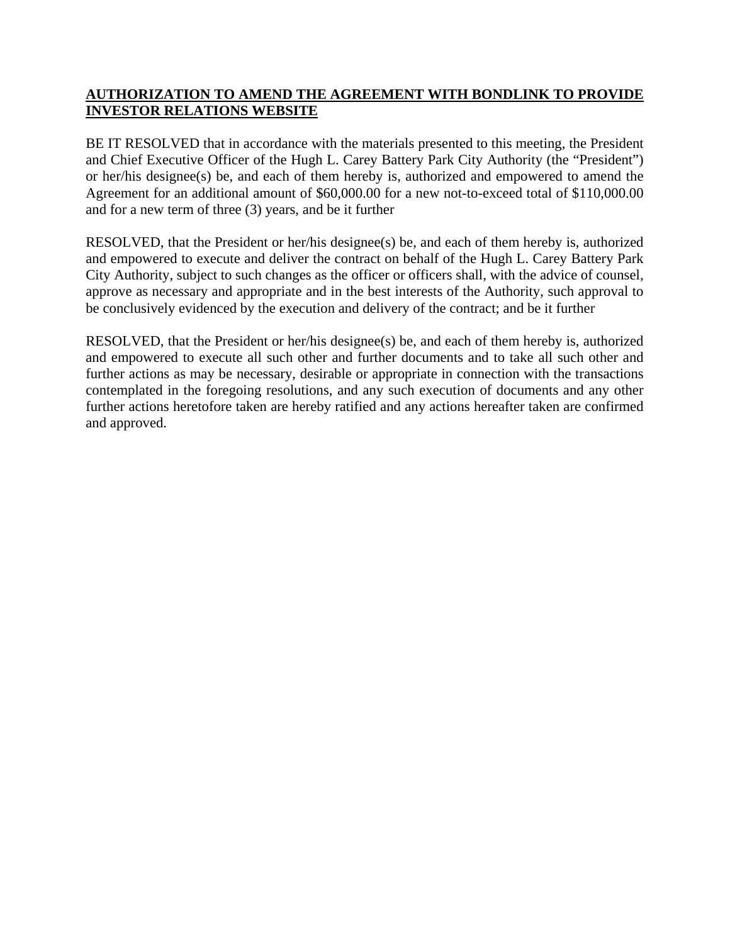# **AUTHORIZATION TO AMEND THE AGREEMENT WITH BONDLINK TO PROVIDE INVESTOR RELATIONS WEBSITE**

BE IT RESOLVED that in accordance with the materials presented to this meeting, the President and Chief Executive Officer of the Hugh L. Carey Battery Park City Authority (the "President") or her/his designee(s) be, and each of them hereby is, authorized and empowered to amend the Agreement for an additional amount of \$60,000.00 for a new not-to-exceed total of \$110,000.00 and for a new term of three (3) years, and be it further

RESOLVED, that the President or her/his designee(s) be, and each of them hereby is, authorized and empowered to execute and deliver the contract on behalf of the Hugh L. Carey Battery Park City Authority, subject to such changes as the officer or officers shall, with the advice of counsel, approve as necessary and appropriate and in the best interests of the Authority, such approval to be conclusively evidenced by the execution and delivery of the contract; and be it further

RESOLVED, that the President or her/his designee(s) be, and each of them hereby is, authorized and empowered to execute all such other and further documents and to take all such other and further actions as may be necessary, desirable or appropriate in connection with the transactions contemplated in the foregoing resolutions, and any such execution of documents and any other further actions heretofore taken are hereby ratified and any actions hereafter taken are confirmed and approved.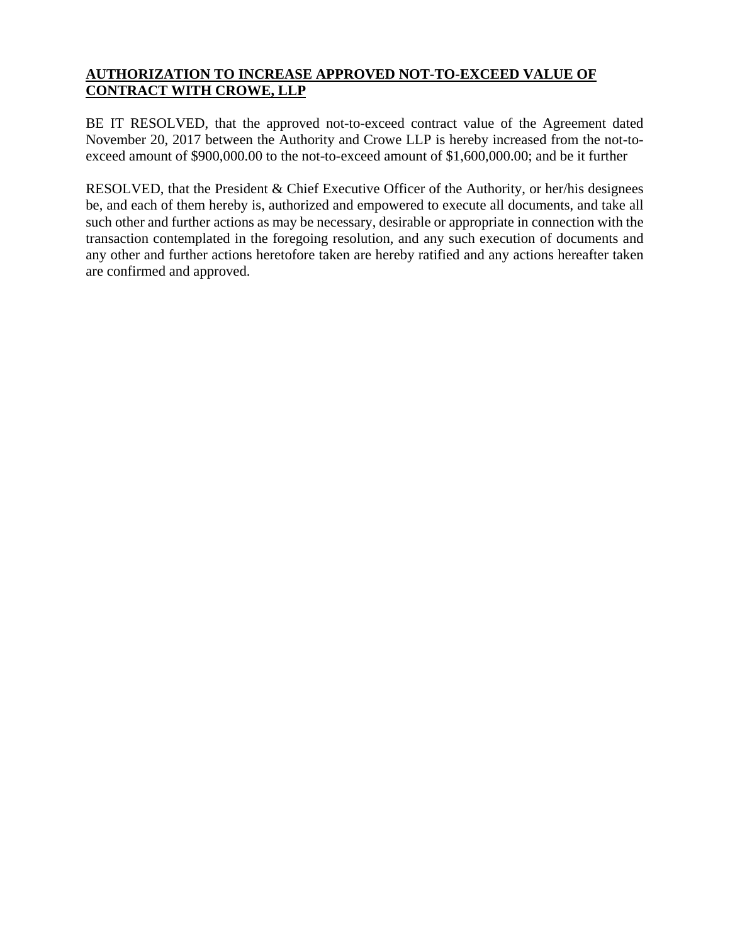# **AUTHORIZATION TO INCREASE APPROVED NOT-TO-EXCEED VALUE OF CONTRACT WITH CROWE, LLP**

BE IT RESOLVED, that the approved not-to-exceed contract value of the Agreement dated November 20, 2017 between the Authority and Crowe LLP is hereby increased from the not-toexceed amount of \$900,000.00 to the not-to-exceed amount of \$1,600,000.00; and be it further

RESOLVED, that the President & Chief Executive Officer of the Authority, or her/his designees be, and each of them hereby is, authorized and empowered to execute all documents, and take all such other and further actions as may be necessary, desirable or appropriate in connection with the transaction contemplated in the foregoing resolution, and any such execution of documents and any other and further actions heretofore taken are hereby ratified and any actions hereafter taken are confirmed and approved.